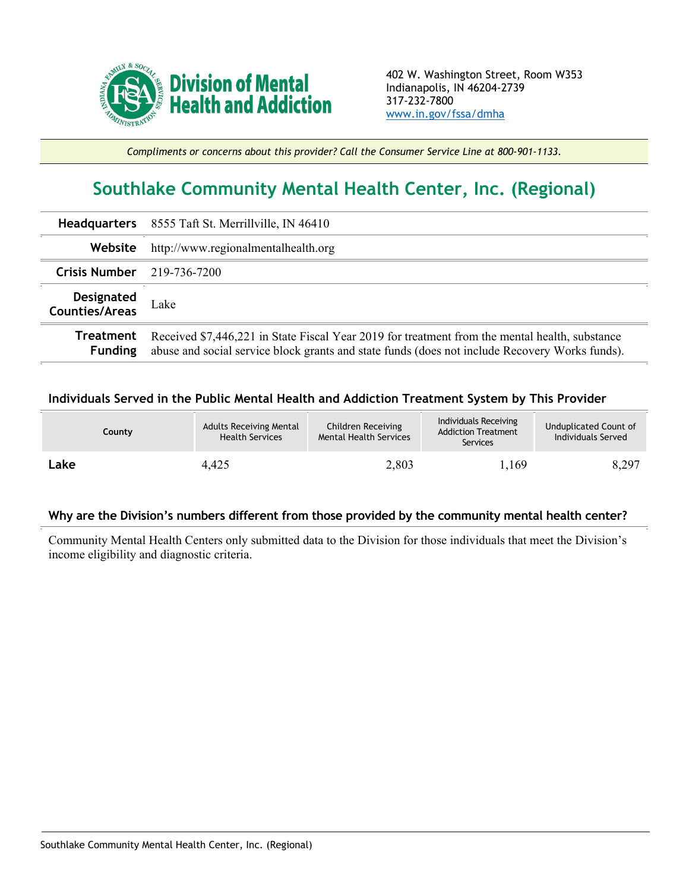

*Compliments or concerns about this provider? Call the Consumer Service Line at 800-901-1133.*

## **Southlake Community Mental Health Center, Inc. (Regional)**

|                              | Headquarters 8555 Taft St. Merrillville, IN 46410                                                                                                                                                |
|------------------------------|--------------------------------------------------------------------------------------------------------------------------------------------------------------------------------------------------|
| Website                      | http://www.regionalmentalhealth.org                                                                                                                                                              |
| Crisis Number $219-736-7200$ |                                                                                                                                                                                                  |
| Designated<br>Counties/Areas | Lake                                                                                                                                                                                             |
| Treatment<br><b>Funding</b>  | Received \$7,446,221 in State Fiscal Year 2019 for treatment from the mental health, substance<br>abuse and social service block grants and state funds (does not include Recovery Works funds). |

## **Individuals Served in the Public Mental Health and Addiction Treatment System by This Provider**

| County | <b>Adults Receiving Mental</b><br><b>Health Services</b> | Children Receiving<br><b>Mental Health Services</b> | Individuals Receiving<br><b>Addiction Treatment</b><br>Services | Unduplicated Count of<br>Individuals Served |
|--------|----------------------------------------------------------|-----------------------------------------------------|-----------------------------------------------------------------|---------------------------------------------|
| Lake   | 4,425                                                    | 2,803                                               | 1,169                                                           | 8,297                                       |

## **Why are the Division's numbers different from those provided by the community mental health center?**

Community Mental Health Centers only submitted data to the Division for those individuals that meet the Division's income eligibility and diagnostic criteria.